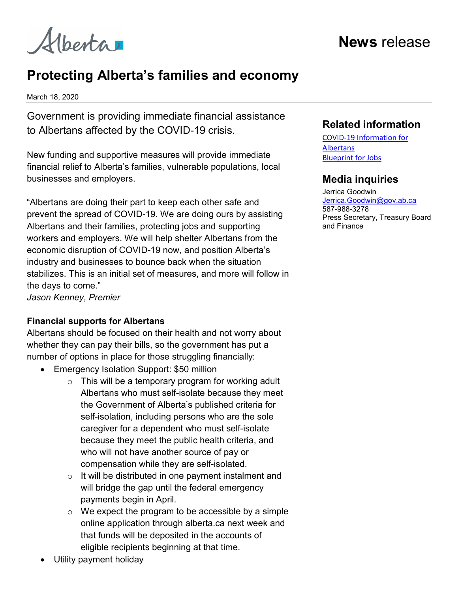Alberta

# Protecting Alberta's families and economy

March 18, 2020

Government is providing immediate financial assistance to Albertans affected by the COVID-19 crisis.

New funding and supportive measures will provide immediate financial relief to Alberta's families, vulnerable populations, local businesses and employers.

"Albertans are doing their part to keep each other safe and prevent the spread of COVID-19. We are doing ours by assisting Albertans and their families, protecting jobs and supporting workers and employers. We will help shelter Albertans from the economic disruption of COVID-19 now, and position Alberta's industry and businesses to bounce back when the situation stabilizes. This is an initial set of measures, and more will follow in the days to come."

Jason Kenney, Premier

### Financial supports for Albertans

Albertans should be focused on their health and not worry about whether they can pay their bills, so the government has put a number of options in place for those struggling financially:

- Emergency Isolation Support: \$50 million
	- $\circ$  This will be a temporary program for working adult Albertans who must self-isolate because they meet the Government of Alberta's published criteria for self-isolation, including persons who are the sole caregiver for a dependent who must self-isolate because they meet the public health criteria, and who will not have another source of pay or compensation while they are self-isolated.
	- $\circ$  It will be distributed in one payment instalment and will bridge the gap until the federal emergency payments begin in April.
	- $\circ$  We expect the program to be accessible by a simple online application through alberta.ca next week and that funds will be deposited in the accounts of eligible recipients beginning at that time.

### Utility payment holiday

### Related information

COVID-19 Information for Albertans Blueprint for Jobs

## Media inquiries

Jerrica Goodwin Jerrica.Goodwin@gov.ab.ca 587-988-3278 Press Secretary, Treasury Board and Finance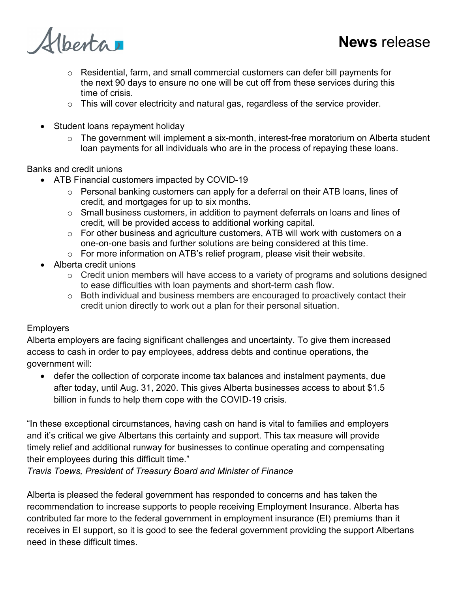

Alberta

- o Residential, farm, and small commercial customers can defer bill payments for the next 90 days to ensure no one will be cut off from these services during this time of crisis.
- $\circ$  This will cover electricity and natural gas, regardless of the service provider.
- Student loans repayment holiday
	- o The government will implement a six-month, interest-free moratorium on Alberta student loan payments for all individuals who are in the process of repaying these loans.

Banks and credit unions

- ATB Financial customers impacted by COVID-19
	- o Personal banking customers can apply for a deferral on their ATB loans, lines of credit, and mortgages for up to six months.
	- $\circ$  Small business customers, in addition to payment deferrals on loans and lines of credit, will be provided access to additional working capital.
	- o For other business and agriculture customers, ATB will work with customers on a one-on-one basis and further solutions are being considered at this time.
	- o For more information on ATB's relief program, please visit their website.
- Alberta credit unions
	- $\circ$  Credit union members will have access to a variety of programs and solutions designed to ease difficulties with loan payments and short-term cash flow.
	- o Both individual and business members are encouraged to proactively contact their credit union directly to work out a plan for their personal situation.

#### **Employers**

Alberta employers are facing significant challenges and uncertainty. To give them increased access to cash in order to pay employees, address debts and continue operations, the government will:

 defer the collection of corporate income tax balances and instalment payments, due after today, until Aug. 31, 2020. This gives Alberta businesses access to about \$1.5 billion in funds to help them cope with the COVID-19 crisis.

"In these exceptional circumstances, having cash on hand is vital to families and employers and it's critical we give Albertans this certainty and support. This tax measure will provide timely relief and additional runway for businesses to continue operating and compensating their employees during this difficult time."

Travis Toews, President of Treasury Board and Minister of Finance

Alberta is pleased the federal government has responded to concerns and has taken the recommendation to increase supports to people receiving Employment Insurance. Alberta has contributed far more to the federal government in employment insurance (EI) premiums than it receives in EI support, so it is good to see the federal government providing the support Albertans need in these difficult times.